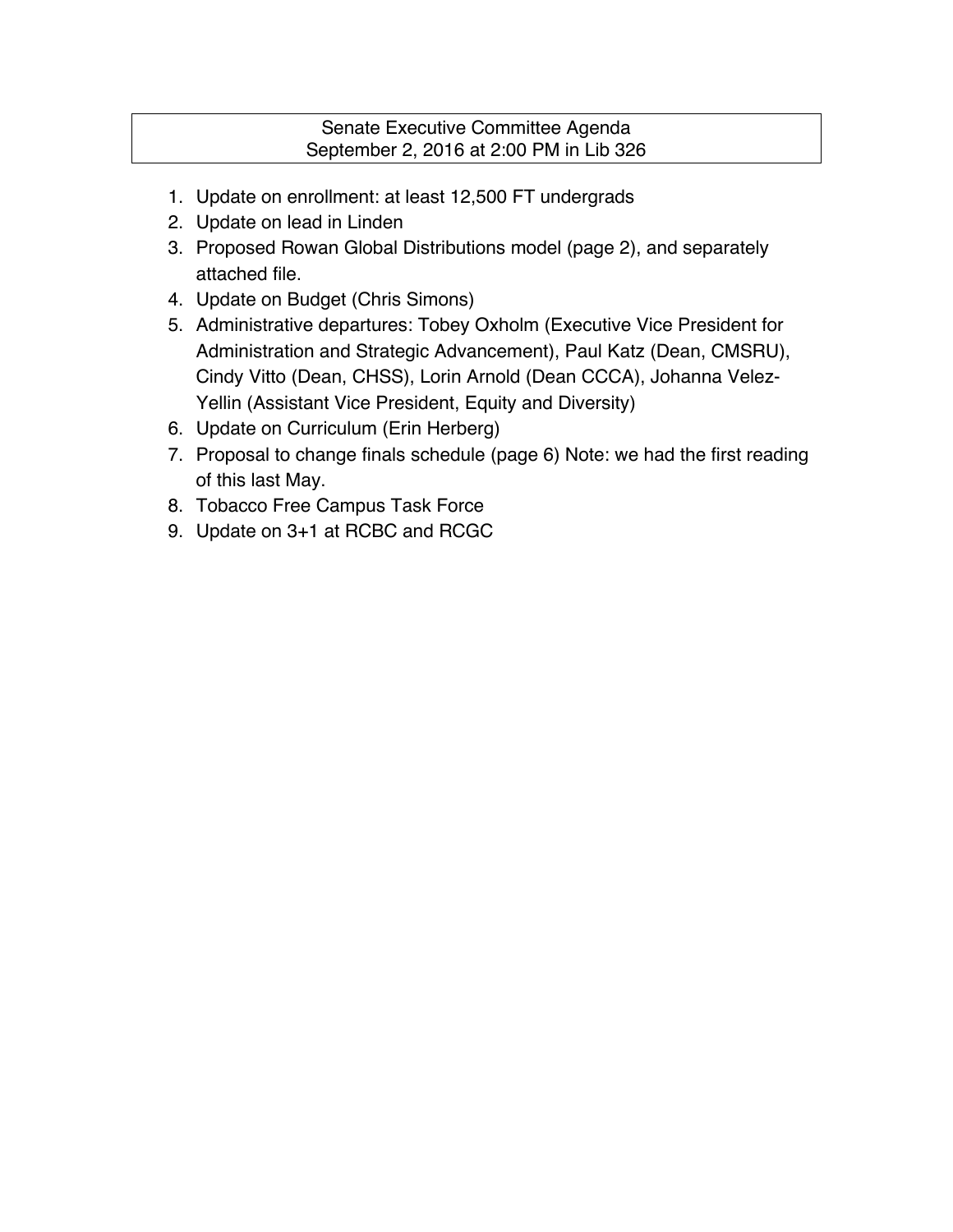# Senate Executive Committee Agenda September 2, 2016 at 2:00 PM in Lib 326

- 1. Update on enrollment: at least 12,500 FT undergrads
- 2. Update on lead in Linden
- 3. Proposed Rowan Global Distributions model (page 2), and separately attached file.
- 4. Update on Budget (Chris Simons)
- 5. Administrative departures: Tobey Oxholm (Executive Vice President for Administration and Strategic Advancement), Paul Katz (Dean, CMSRU), Cindy Vitto (Dean, CHSS), Lorin Arnold (Dean CCCA), Johanna Velez-Yellin (Assistant Vice President, Equity and Diversity)
- 6. Update on Curriculum (Erin Herberg)
- 7. Proposal to change finals schedule (page 6) Note: we had the first reading of this last May.
- 8. Tobacco Free Campus Task Force
- 9. Update on 3+1 at RCBC and RCGC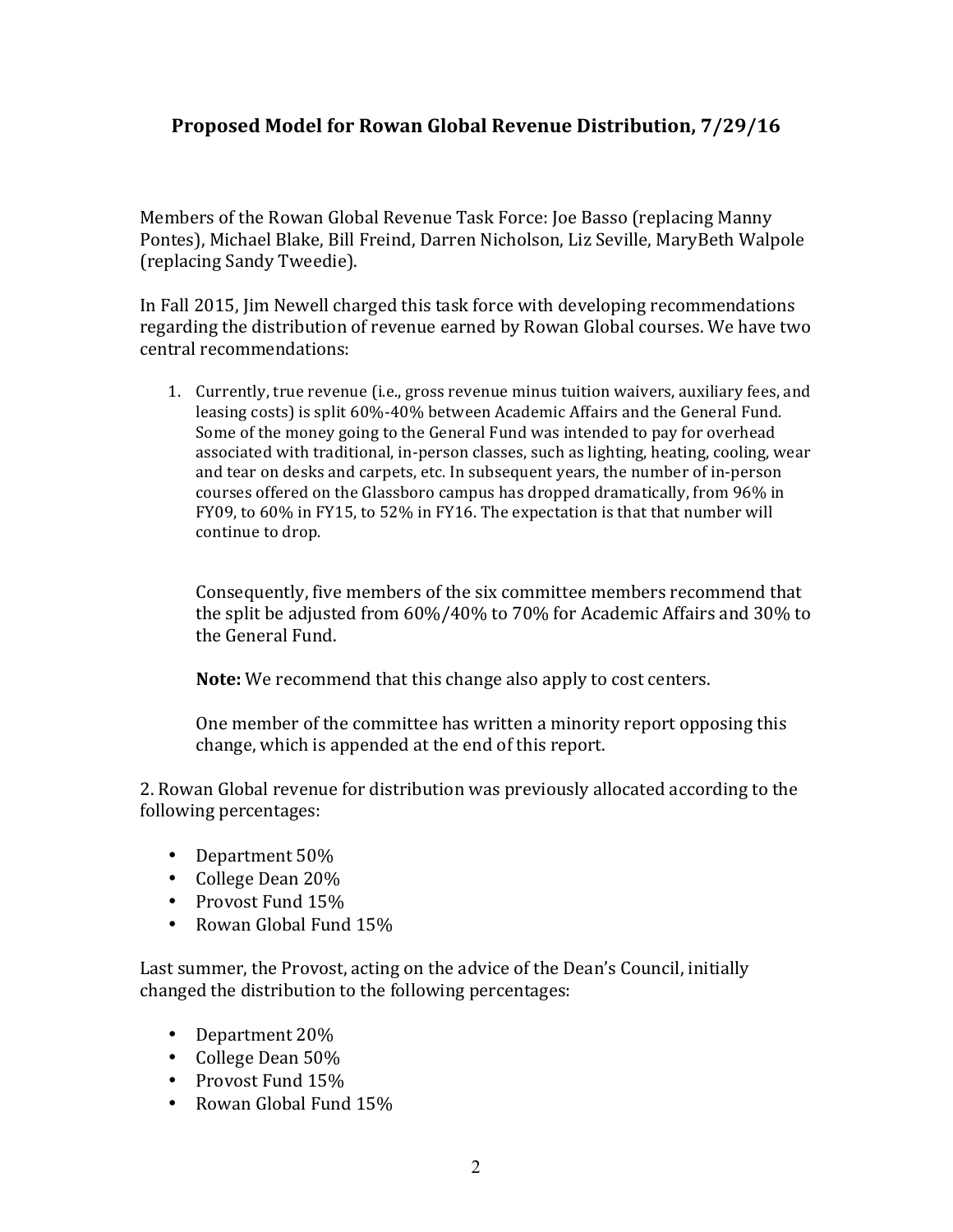# **Proposed Model for Rowan Global Revenue Distribution, 7/29/16**

Members of the Rowan Global Revenue Task Force: Joe Basso (replacing Manny Pontes), Michael Blake, Bill Freind, Darren Nicholson, Liz Seville, MaryBeth Walpole (replacing Sandy Tweedie).

In Fall 2015, Jim Newell charged this task force with developing recommendations regarding the distribution of revenue earned by Rowan Global courses. We have two central recommendations:

1. Currently, true revenue (i.e., gross revenue minus tuition waivers, auxiliary fees, and leasing costs) is split 60%-40% between Academic Affairs and the General Fund. Some of the money going to the General Fund was intended to pay for overhead associated with traditional, in-person classes, such as lighting, heating, cooling, wear and tear on desks and carpets, etc. In subsequent years, the number of in-person courses offered on the Glassboro campus has dropped dramatically, from 96% in FY09, to 60% in FY15, to 52% in FY16. The expectation is that that number will continue to drop.

Consequently, five members of the six committee members recommend that the split be adjusted from  $60\%/40\%$  to  $70\%$  for Academic Affairs and  $30\%$  to the General Fund.

**Note:** We recommend that this change also apply to cost centers.

One member of the committee has written a minority report opposing this change, which is appended at the end of this report.

2. Rowan Global revenue for distribution was previously allocated according to the following percentages:

- Department  $50%$
- College Dean 20%
- Provost Fund 15%
- Rowan Global Fund 15%

Last summer, the Provost, acting on the advice of the Dean's Council, initially changed the distribution to the following percentages:

- Department 20%
- College Dean 50%
- Provost Fund 15%
- Rowan Global Fund 15%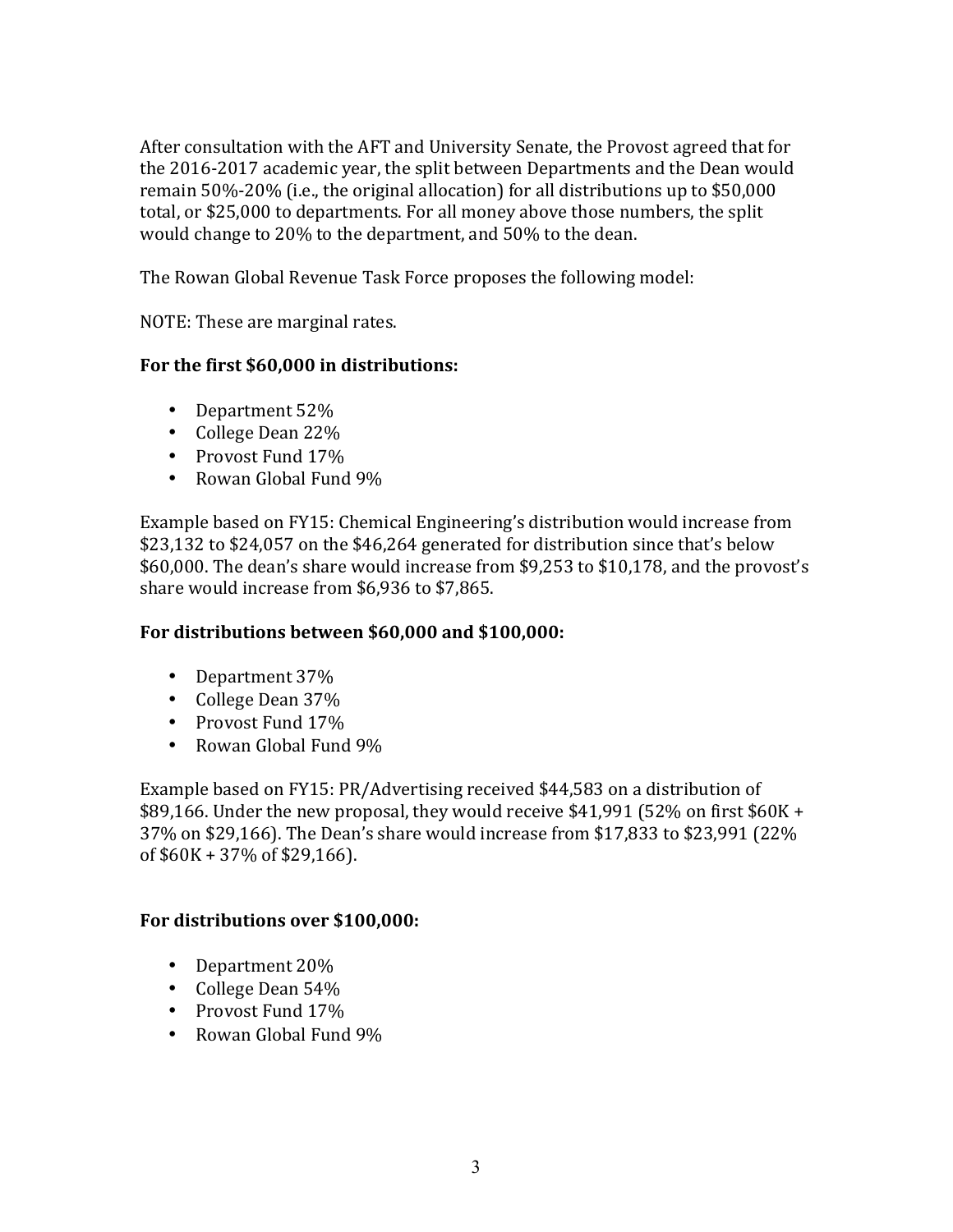After consultation with the AFT and University Senate, the Provost agreed that for the 2016-2017 academic year, the split between Departments and the Dean would remain  $50\%$ -20% (i.e., the original allocation) for all distributions up to \$50,000 total, or \$25,000 to departments. For all money above those numbers, the split would change to 20% to the department, and 50% to the dean.

The Rowan Global Revenue Task Force proposes the following model:

NOTE: These are marginal rates.

## For the first \$60,000 in distributions:

- Department 52%
- College Dean 22%
- Provost Fund 17%
- Rowan Global Fund 9%

Example based on FY15: Chemical Engineering's distribution would increase from \$23,132 to \$24,057 on the \$46,264 generated for distribution since that's below  $$60,000$ . The dean's share would increase from \$9.253 to \$10.178, and the provost's share would increase from  $$6,936$  to  $$7,865$ .

### For distributions between \$60,000 and \$100,000:

- Department 37%
- College Dean 37%
- Provost Fund 17%
- Rowan Global Fund 9%

Example based on FY15: PR/Advertising received \$44,583 on a distribution of  $$89,166$ . Under the new proposal, they would receive  $$41,991$  (52% on first  $$60K +$ 37% on \$29,166). The Dean's share would increase from \$17,833 to \$23,991 (22%) of  $$60K + 37\%$  of \$29,166).

### For distributions over \$100,000:

- Department 20%
- College Dean 54%
- Provost Fund 17%
- Rowan Global Fund 9%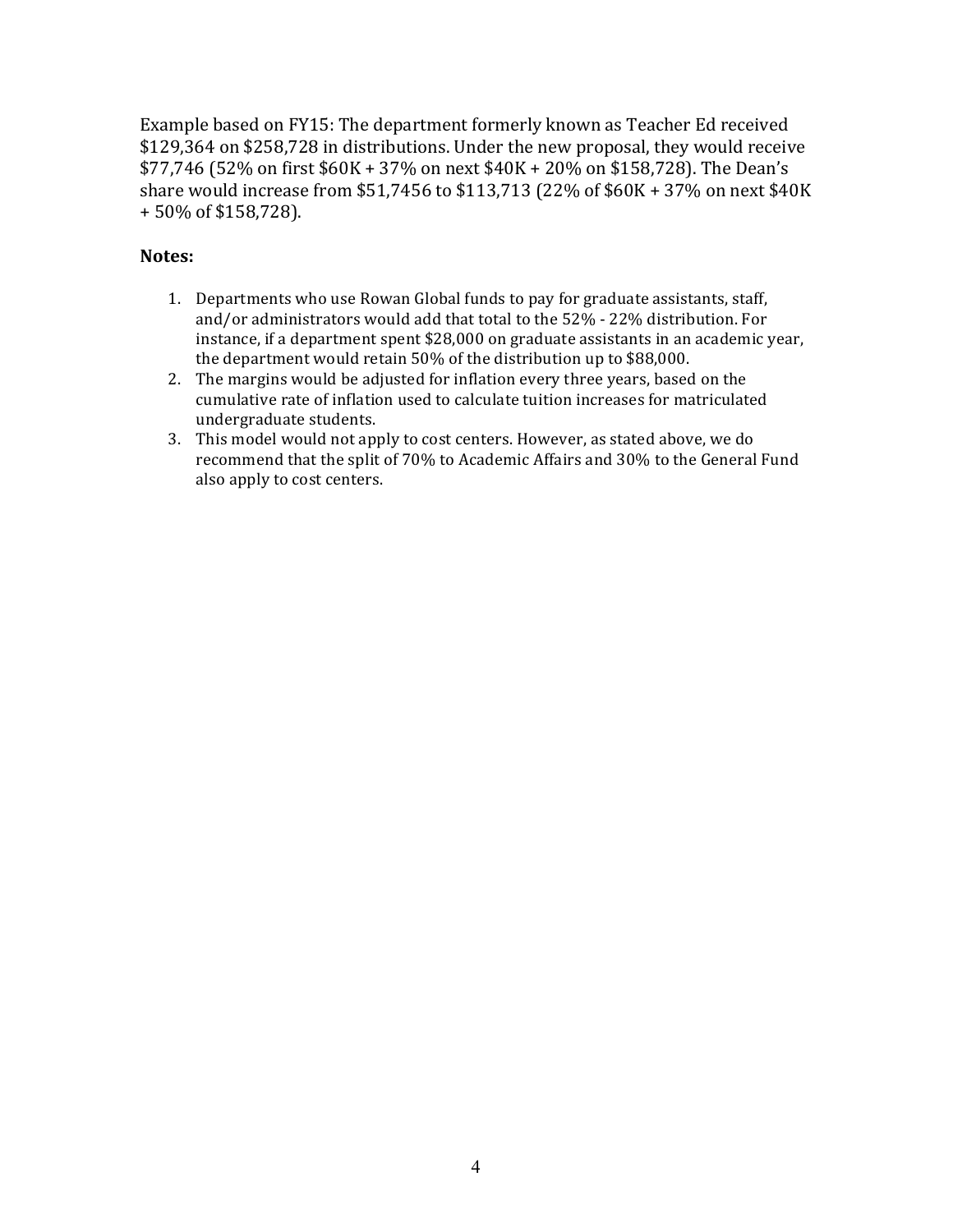Example based on FY15: The department formerly known as Teacher Ed received \$129,364 on \$258,728 in distributions. Under the new proposal, they would receive \$77,746 (52% on first \$60K + 37% on next \$40K + 20% on \$158,728). The Dean's share would increase from \$51,7456 to \$113,713 (22% of \$60K + 37% on next \$40K  $+50\%$  of \$158,728).

## **Notes:**

- 1. Departments who use Rowan Global funds to pay for graduate assistants, staff, and/or administrators would add that total to the 52% - 22% distribution. For instance, if a department spent  $$28,000$  on graduate assistants in an academic year, the department would retain 50% of the distribution up to \$88,000.
- 2. The margins would be adjusted for inflation every three years, based on the cumulative rate of inflation used to calculate tuition increases for matriculated undergraduate students.
- 3. This model would not apply to cost centers. However, as stated above, we do recommend that the split of 70% to Academic Affairs and 30% to the General Fund also apply to cost centers.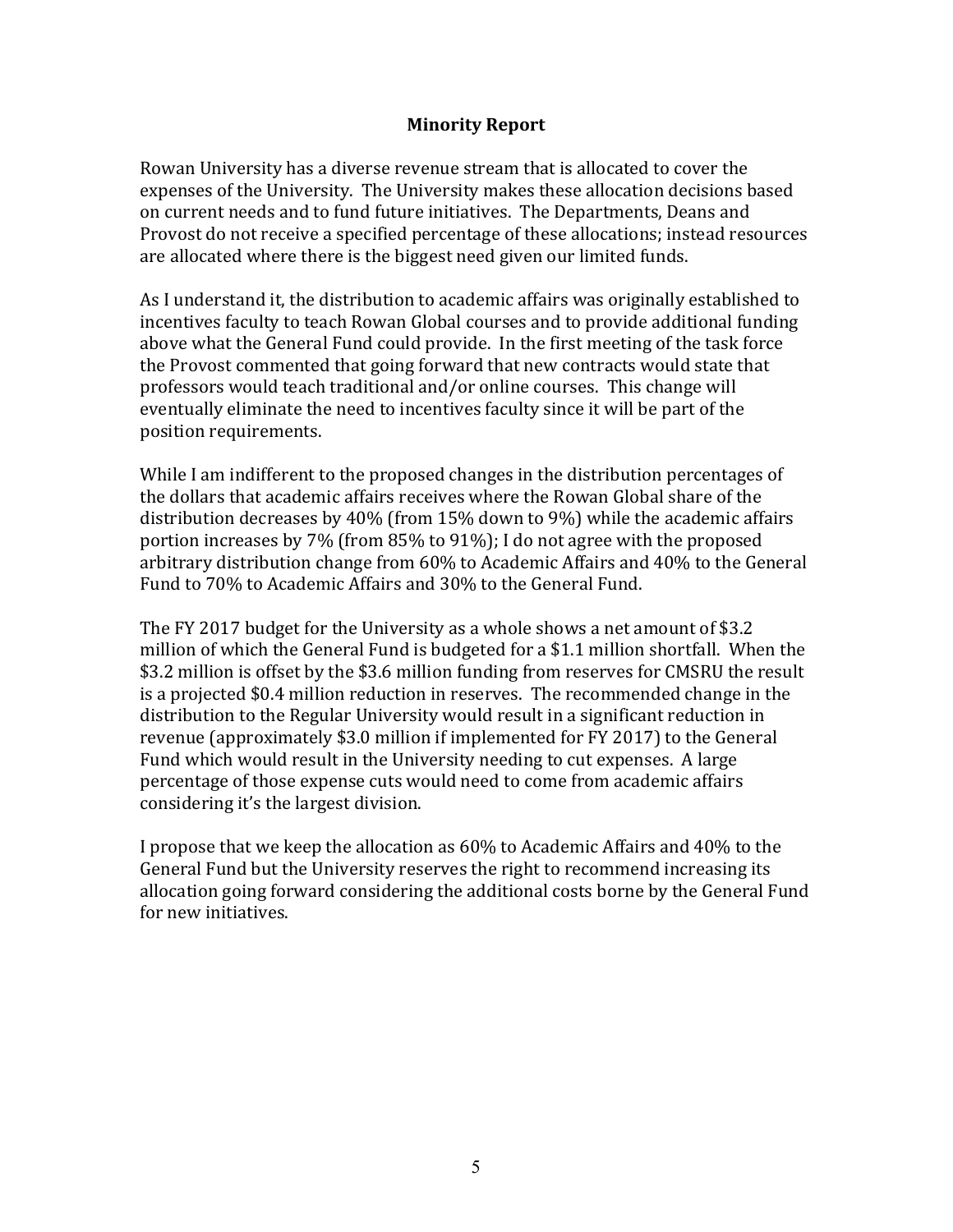### **Minority Report**

Rowan University has a diverse revenue stream that is allocated to cover the expenses of the University. The University makes these allocation decisions based on current needs and to fund future initiatives. The Departments, Deans and Provost do not receive a specified percentage of these allocations; instead resources are allocated where there is the biggest need given our limited funds.

As I understand it, the distribution to academic affairs was originally established to incentives faculty to teach Rowan Global courses and to provide additional funding above what the General Fund could provide. In the first meeting of the task force the Provost commented that going forward that new contracts would state that professors would teach traditional and/or online courses. This change will eventually eliminate the need to incentives faculty since it will be part of the position requirements.

While I am indifferent to the proposed changes in the distribution percentages of the dollars that academic affairs receives where the Rowan Global share of the distribution decreases by  $40\%$  (from 15% down to 9%) while the academic affairs portion increases by 7% (from  $85\%$  to  $91\%$ ); I do not agree with the proposed arbitrary distribution change from 60% to Academic Affairs and 40% to the General Fund to 70% to Academic Affairs and 30% to the General Fund.

The FY 2017 budget for the University as a whole shows a net amount of \$3.2 million of which the General Fund is budgeted for a \$1.1 million shortfall. When the \$3.2 million is offset by the \$3.6 million funding from reserves for CMSRU the result is a projected \$0.4 million reduction in reserves. The recommended change in the distribution to the Regular University would result in a significant reduction in revenue (approximately \$3.0 million if implemented for FY 2017) to the General Fund which would result in the University needing to cut expenses. A large percentage of those expense cuts would need to come from academic affairs considering it's the largest division.

I propose that we keep the allocation as 60% to Academic Affairs and 40% to the General Fund but the University reserves the right to recommend increasing its allocation going forward considering the additional costs borne by the General Fund for new initiatives.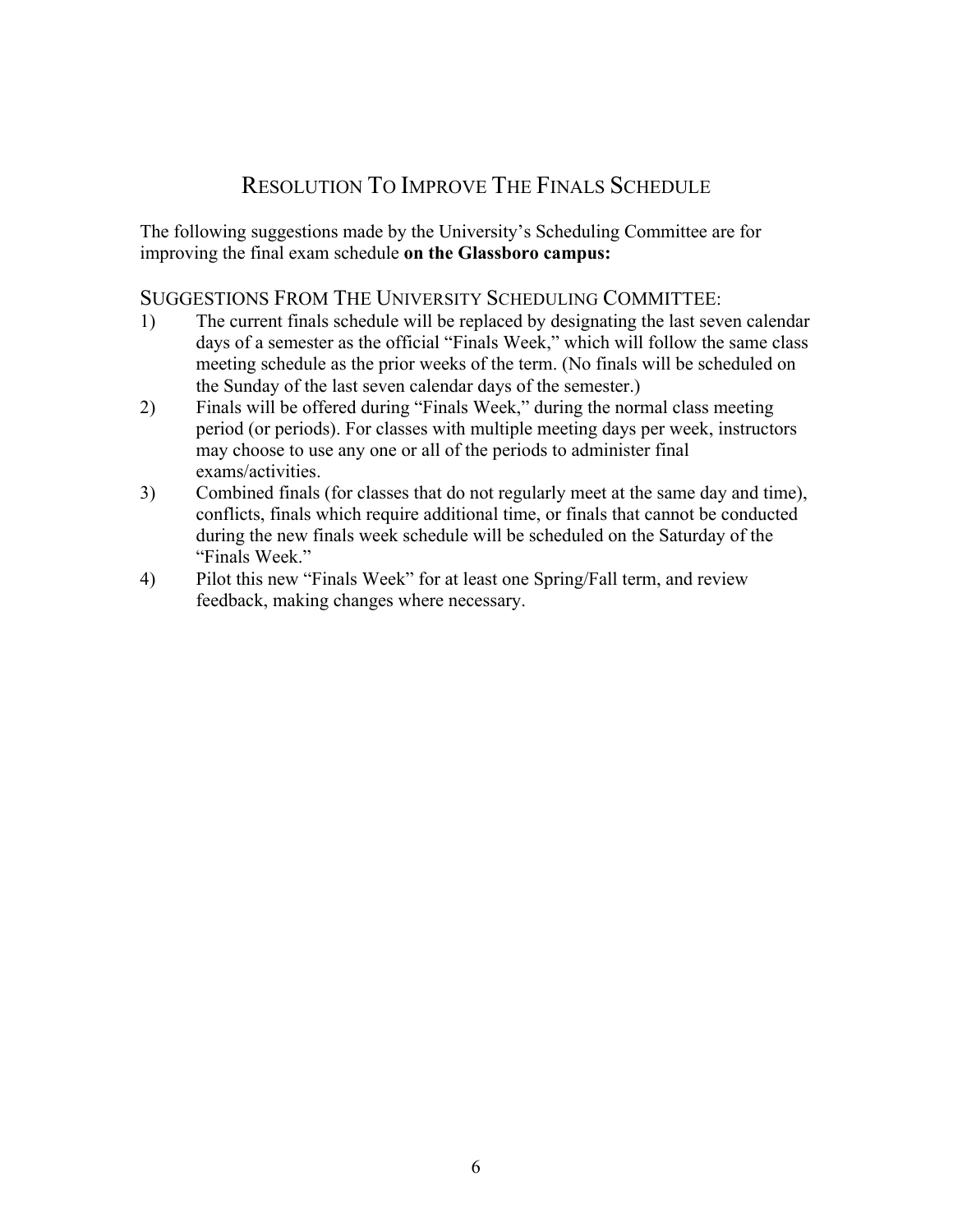# RESOLUTION TO IMPROVE THE FINALS SCHEDULE

The following suggestions made by the University's Scheduling Committee are for improving the final exam schedule **on the Glassboro campus:**

### SUGGESTIONS FROM THE UNIVERSITY SCHEDULING COMMITTEE:

- 1) The current finals schedule will be replaced by designating the last seven calendar days of a semester as the official "Finals Week," which will follow the same class meeting schedule as the prior weeks of the term. (No finals will be scheduled on the Sunday of the last seven calendar days of the semester.)
- 2) Finals will be offered during "Finals Week," during the normal class meeting period (or periods). For classes with multiple meeting days per week, instructors may choose to use any one or all of the periods to administer final exams/activities.
- 3) Combined finals (for classes that do not regularly meet at the same day and time), conflicts, finals which require additional time, or finals that cannot be conducted during the new finals week schedule will be scheduled on the Saturday of the "Finals Week."
- 4) Pilot this new "Finals Week" for at least one Spring/Fall term, and review feedback, making changes where necessary.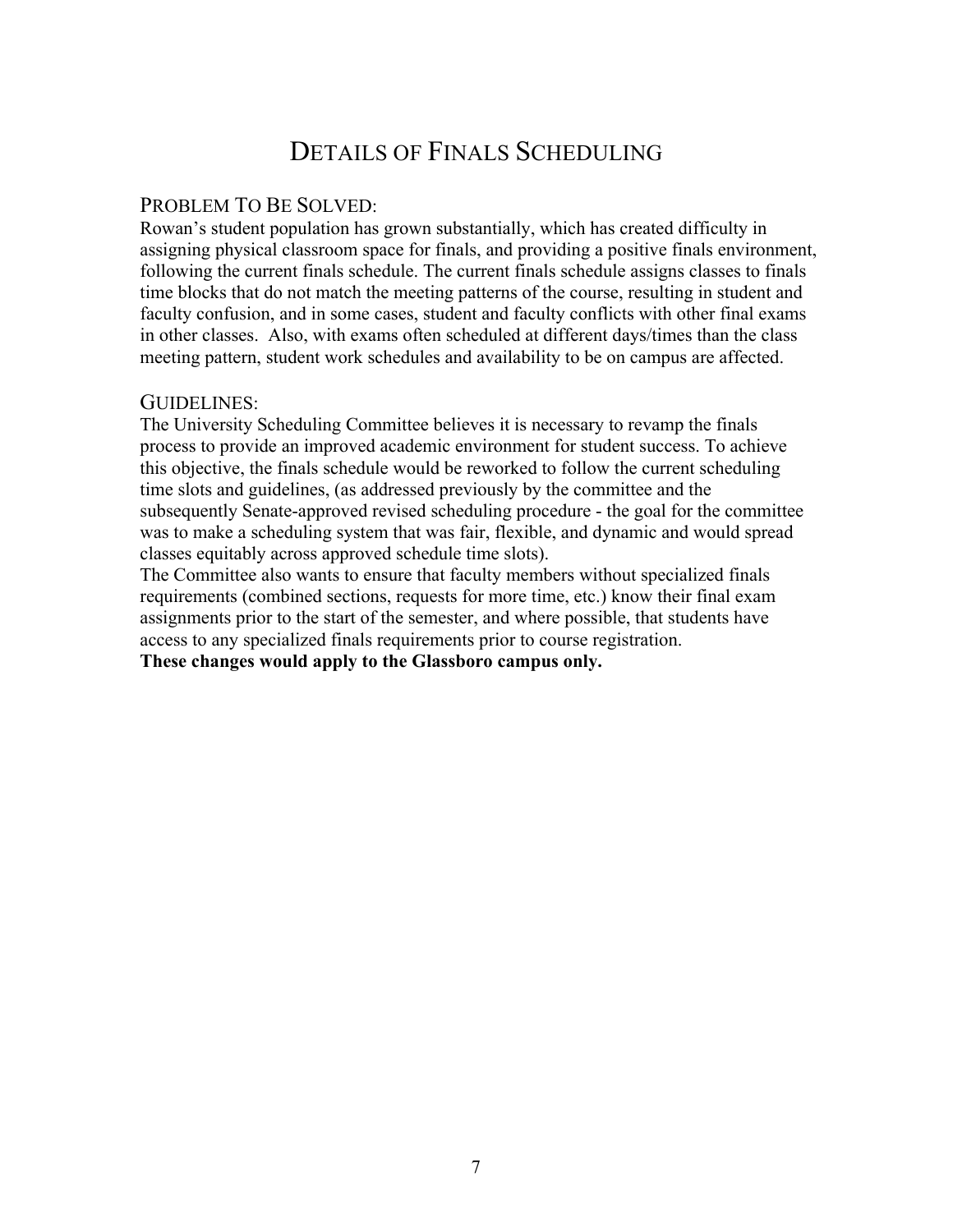# DETAILS OF FINALS SCHEDULING

## PROBLEM TO BE SOLVED:

Rowan's student population has grown substantially, which has created difficulty in assigning physical classroom space for finals, and providing a positive finals environment, following the current finals schedule. The current finals schedule assigns classes to finals time blocks that do not match the meeting patterns of the course, resulting in student and faculty confusion, and in some cases, student and faculty conflicts with other final exams in other classes. Also, with exams often scheduled at different days/times than the class meeting pattern, student work schedules and availability to be on campus are affected.

### GUIDELINES:

The University Scheduling Committee believes it is necessary to revamp the finals process to provide an improved academic environment for student success. To achieve this objective, the finals schedule would be reworked to follow the current scheduling time slots and guidelines, (as addressed previously by the committee and the subsequently Senate-approved revised scheduling procedure - the goal for the committee was to make a scheduling system that was fair, flexible, and dynamic and would spread classes equitably across approved schedule time slots).

The Committee also wants to ensure that faculty members without specialized finals requirements (combined sections, requests for more time, etc.) know their final exam assignments prior to the start of the semester, and where possible, that students have access to any specialized finals requirements prior to course registration.

**These changes would apply to the Glassboro campus only.**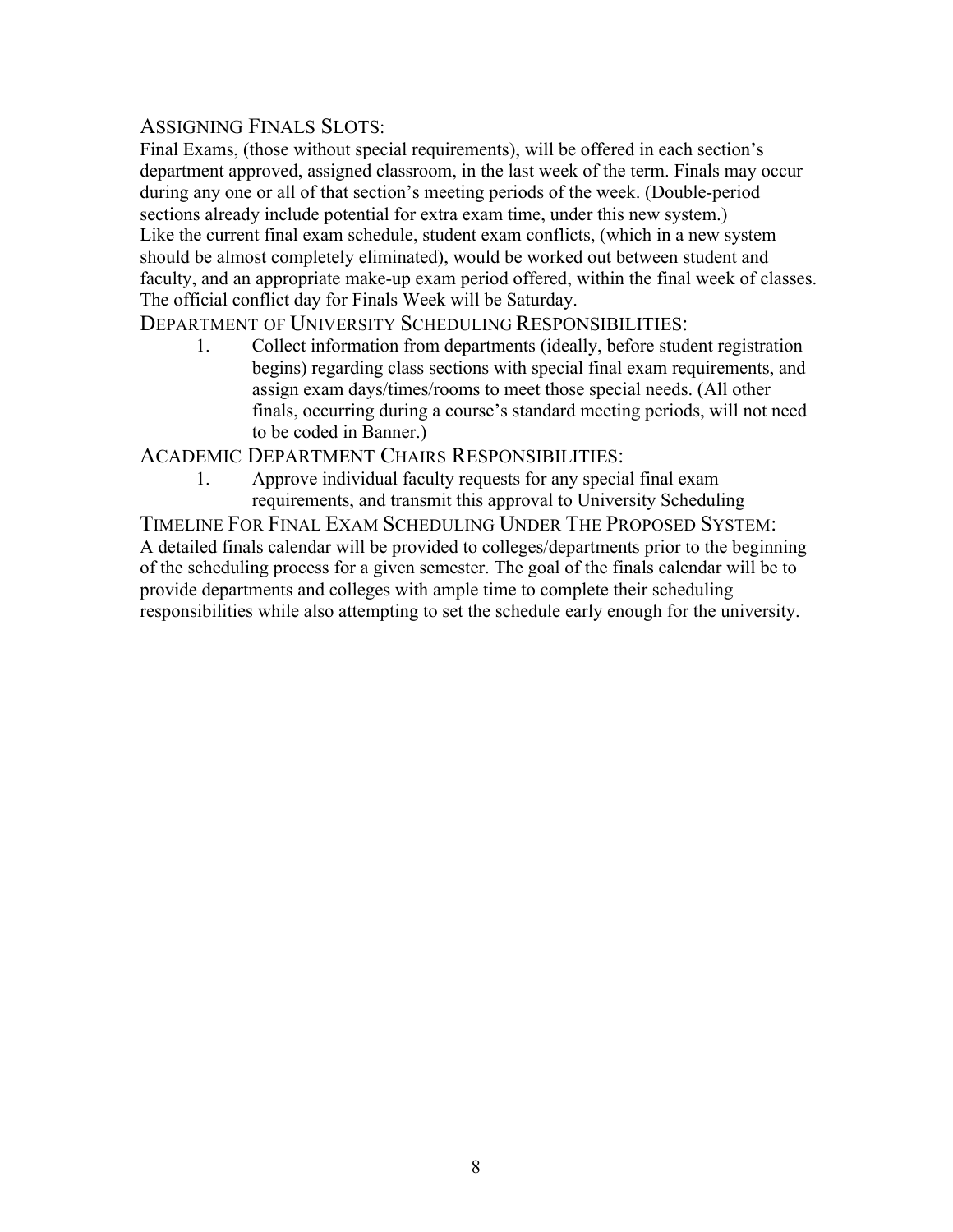## ASSIGNING FINALS SLOTS:

Final Exams, (those without special requirements), will be offered in each section's department approved, assigned classroom, in the last week of the term. Finals may occur during any one or all of that section's meeting periods of the week. (Double-period sections already include potential for extra exam time, under this new system.) Like the current final exam schedule, student exam conflicts, (which in a new system should be almost completely eliminated), would be worked out between student and faculty, and an appropriate make-up exam period offered, within the final week of classes. The official conflict day for Finals Week will be Saturday.

## DEPARTMENT OF UNIVERSITY SCHEDULING RESPONSIBILITIES:

1. Collect information from departments (ideally, before student registration begins) regarding class sections with special final exam requirements, and assign exam days/times/rooms to meet those special needs. (All other finals, occurring during a course's standard meeting periods, will not need to be coded in Banner.)

## ACADEMIC DEPARTMENT CHAIRS RESPONSIBILITIES:

1. Approve individual faculty requests for any special final exam requirements, and transmit this approval to University Scheduling

TIMELINE FOR FINAL EXAM SCHEDULING UNDER THE PROPOSED SYSTEM: A detailed finals calendar will be provided to colleges/departments prior to the beginning of the scheduling process for a given semester. The goal of the finals calendar will be to provide departments and colleges with ample time to complete their scheduling responsibilities while also attempting to set the schedule early enough for the university.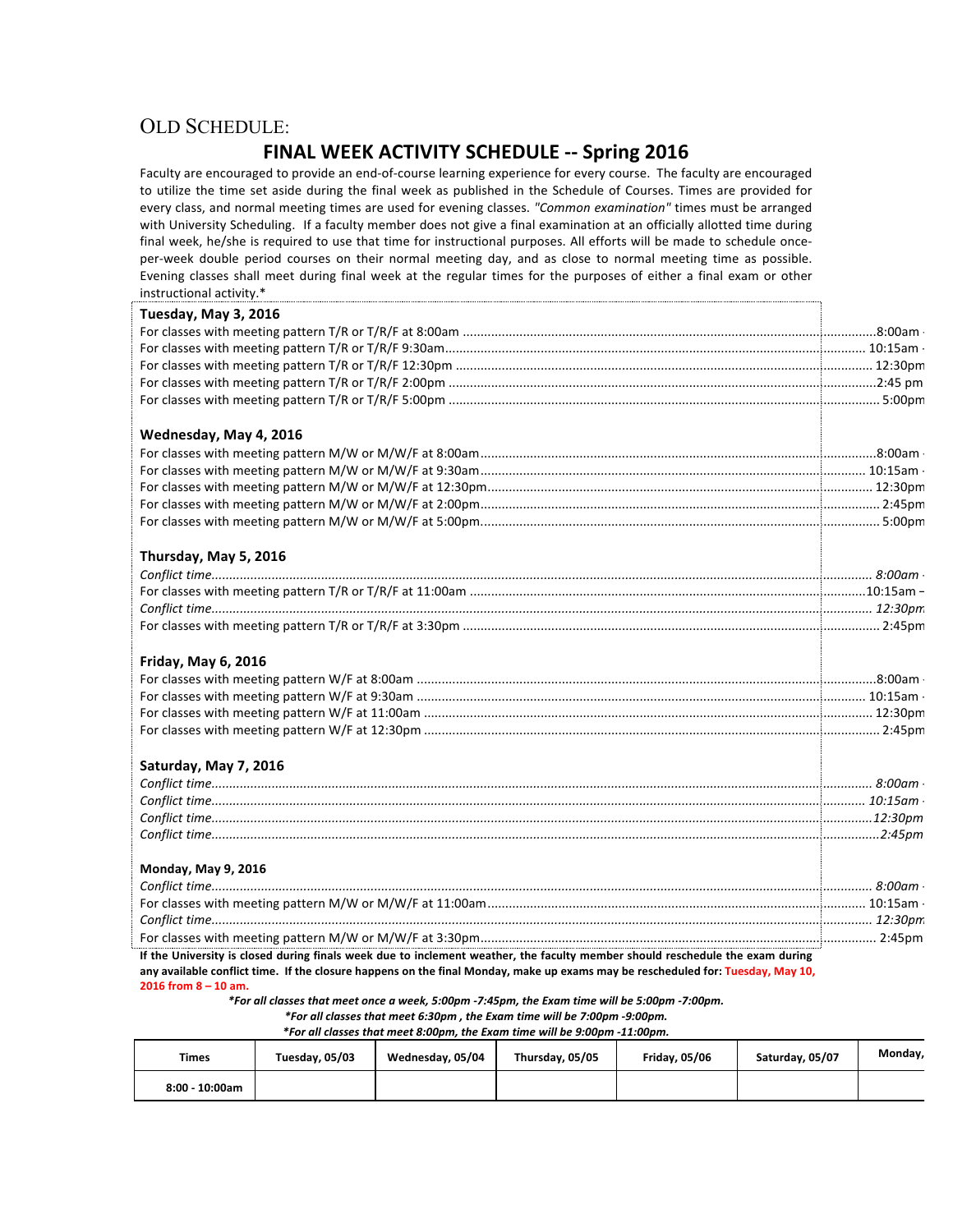## OLD SCHEDULE:

## **FINAL WEEK ACTIVITY SCHEDULE -- Spring 2016**

Faculty are encouraged to provide an end-of-course learning experience for every course. The faculty are encouraged to utilize the time set aside during the final week as published in the Schedule of Courses. Times are provided for every class, and normal meeting times are used for evening classes. "Common examination" times must be arranged with University Scheduling. If a faculty member does not give a final examination at an officially allotted time during final week, he/she is required to use that time for instructional purposes. All efforts will be made to schedule onceper-week double period courses on their normal meeting day, and as close to normal meeting time as possible. Evening classes shall meet during final week at the regular times for the purposes of either a final exam or other  $in$ structional activity. $*$ **Tuesday, May 3, 2016** For classes with meeting pattern T/R or T/R/F at 8:00am .....................................................................................................................8:00am - 10:00am For classes with meeting pattern T/R or T/R/F 9:30am....................................................................................................................... 10:15am - 12:15pm For classes with meeting pattern T/R or T/R/F 12:30pm ...................................................................................................................... 12:30pm - 2:30pm For classes with meeting pattern T/R or T/R/F 2:00pm .........................................................................................................................2:45 pm – 4:45pm For classes with meeting pattern T/R or T/R/F 5:00pm .......................................................................................................................... 5:00pm - 7:00pm Wednesday, May 4, 2016 For classes with meeting pattern M/W or M/W/F at 8:00am................................................................................................................8:00am - 10:00am For classes with meeting pattern M/W or M/W/F at 9:30am............................................................................................................. 10:15am - 12:15pm For classes with meeting pattern M/W or M/W/F at 12:30pm............................................................................................................. 12:30pm - 2:30pm For classes with meeting pattern M/W or M/W/F at 2:00pm................................................................................................................. 2:45pm - 4:45pm For classes with meeting pattern M/W or M/W/F at 5:00pm................................................................................................................. 5:00pm - 7:00pm **Thursday, May 5, 2016** *Conflict time........................................................................................................................................................................................... 8:00am - 10:00am* For classes with meeting pattern T/R or T/R/F at 11:00am ................................................................................................................10:15am – 12:15pm *Conflict time........................................................................................................................................................................................... 12:30pm - 2:30pm* For classes with meeting pattern T/R or T/R/F at 3:30pm ...................................................................................................................... 2:45pm - 4:45pm **Friday, May 6, 2016** For classes with meeting pattern W/F at 8:00am ..................................................................................................................................8:00am - 10:00am For classes with meeting pattern W/F at 9:30am ............................................................................................................................... 10:15am - 12:15pm For classes with meeting pattern W/F at 11:00am ............................................................................................................................... 12:30pm - 2:30pm For classes with meeting pattern W/F at 12:30pm ................................................................................................................................. 2:45pm - 4:45pm **Saturday, May 7, 2016** *Conflict time........................................................................................................................................................................................... 8:00am - 10:00am*  $\textit{Conflict time}.\textit{........}.\textit{........}.\textit{........}.\textit{........}.\textit{........}.\textit{........}.\textit{........}.\textit{........}.\textit{........}.\textit{........}.\textit{........}.\textit{........}.\textit{........}.\textit{........}.\textit{10:15am}\cdot\textit{...}.\textit{........}$ *Conflict time...........................................................................................................................................................................................12:30pm – 2:30pm Conflict time.............................................................................................................................................................................................2:45pm – 4:45pm* **Monday, May 9, 2016**  $\label{eq:confluct} \textit{Conflict time}.\textit{........}.\textit{........}.\textit{........}.\textit{........}.\textit{........}.\textit{........}.\textit{........}.\textit{........}.\textit{........}.\textit{........}.\textit{........}.\textit{........}.\textit{...}.\textit{........}.\textit{...}.\textit{...}.\textit{...}.\textit{...}.\textit{...}.\textit{...}.\textit{...}.\textit{...}.\textit{...}.\textit{...}.\textit{...}.\textit{...}.\textit{...}.\textit{...}.\textit{...}.\textit{...}.\textit{...}.\textit{...}.\textit{...}.\textit{$ For classes with meeting pattern M/W or M/W/F at 11:00am........................................................................................................... 10:15am - 12:15pm *Conflict time........................................................................................................................................................................................... 12:30pm - 2:30pm* For classes with meeting pattern M/W or M/W/F at 3:30pm................................................................................................................ 2:45pm – 4:45pm If the University is closed during finals week due to inclement weather, the faculty member should reschedule the exam during

any available conflict time. If the closure happens on the final Monday, make up exams may be rescheduled for: Tuesday, May 10,

**2016 from 8 – 10 am.**

*\*For all classes that meet once a week, 5:00pm -7:45pm, the Exam time will be 5:00pm -7:00pm.*

*\*For all classes that meet 6:30pm , the Exam time will be 7:00pm -9:00pm.*

*\*For all classes that meet 8:00pm, the Exam time will be 9:00pm -11:00pm.*

| <b>Times</b>     | Tuesday, 05/03 | Wednesday, 05/04 | Thursday, 05/05 | <b>Friday, 05/06</b> | Saturday, 05/07 | Monday, |
|------------------|----------------|------------------|-----------------|----------------------|-----------------|---------|
| $8:00 - 10:00am$ |                |                  |                 |                      |                 |         |